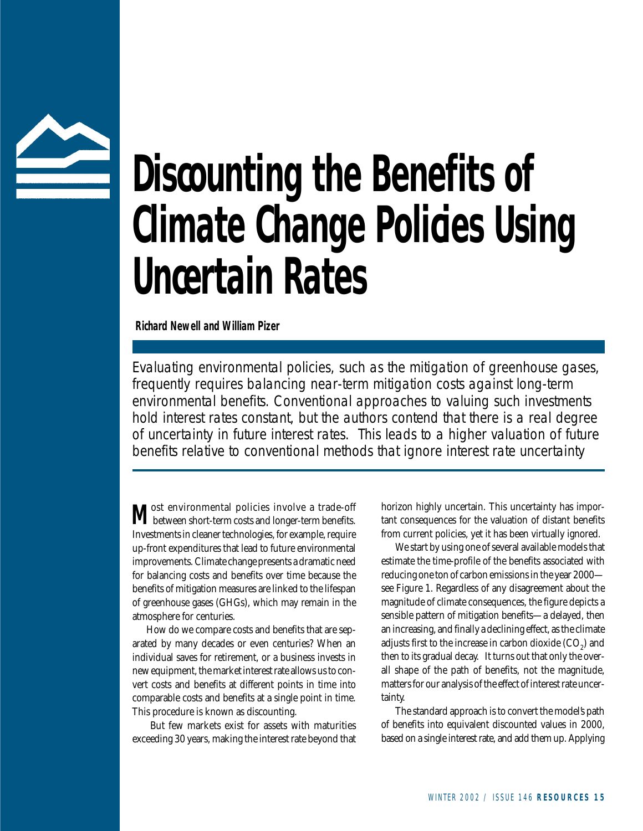

# **Discounting the Benefits of Climate Change Policies Using Uncertain Rates**

*Richard Newell and William Pizer*

Evaluating environmental policies, such as the mitigation of greenhouse gases, frequently requires balancing near-term mitigation costs against long-term environmental benefits. Conventional approaches to valuing such investments hold interest rates constant, but the authors contend that there is a real degree of uncertainty in future interest rates. This leads to a higher valuation of future benefits relative to conventional methods that ignore interest rate uncertainty

**M** between short-term costs and longer-term benefits. Investments in cleaner technologies, for example, require up-front expenditures that lead to future environmental improvements. Climate change presents a dramatic need for balancing costs and benefits over time because the benefits of mitigation measures are linked to the lifespan of greenhouse gases (GHGs), which may remain in the atmosphere for centuries.

How do we compare costs and benefits that are separated by many decades or even centuries? When an individual saves for retirement, or a business invests in new equipment, the market interest rate allows us to convert costs and benefits at different points in time into comparable costs and benefits at a single point in time. This procedure is known as discounting.

But few markets exist for assets with maturities exceeding 30 years, making the interest rate beyond that horizon highly uncertain. This uncertainty has important consequences for the valuation of distant benefits from current policies, yet it has been virtually ignored.

We start by using one of several available models that estimate the time-profile of the benefits associated with reducing one ton of carbon emissions in the year 2000 see Figure 1. Regardless of any disagreement about the magnitude of climate consequences, the figure depicts a sensible pattern of mitigation benefits—a delayed, then an increasing, and finally a declining effect, as the climate adjusts first to the increase in carbon dioxide  $(\mathrm{CO}_2^{})$  and then to its gradual decay. It turns out that only the overall shape of the path of benefits, not the magnitude, matters for our analysis of the effect of interest rate uncertainty.

The standard approach is to convert the model's path of benefits into equivalent discounted values in 2000, based on a single interest rate, and add them up. Applying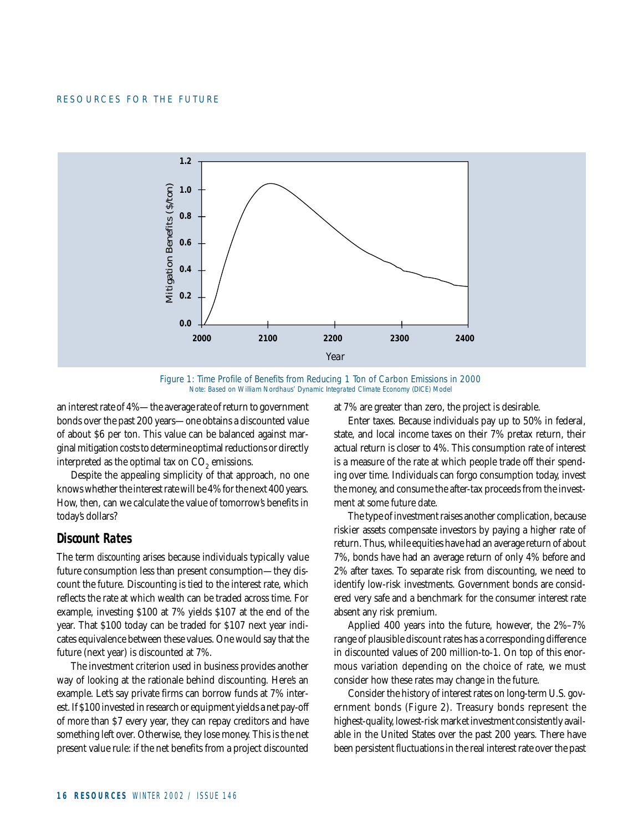

*Figure 1: Time Profile of Benefits from Reducing 1 Ton of Carbon Emissions in 2000 Note: Based on William Nordhaus' Dynamic Integrated Climate Economy (DICE) Model*

an interest rate of 4%—the average rate of return to government bonds over the past 200 years—one obtains a discounted value of about \$6 per ton. This value can be balanced against marginal mitigation costs to determine optimal reductions or directly interpreted as the optimal tax on  $CO<sub>2</sub>$  emissions.

Despite the appealing simplicity of that approach, no one knows whether the interest rate will be 4% for the next 400 years. How, then, can we calculate the value of tomorrow's benefits in today's dollars?

## **Discount Rates**

The term *discounting* arises because individuals typically value future consumption less than present consumption—they discount the future. Discounting is tied to the interest rate, which reflects the rate at which wealth can be traded across time. For example, investing \$100 at 7% yields \$107 at the end of the year. That \$100 today can be traded for \$107 next year indicates equivalence between these values. One would say that the future (next year) is discounted at 7%.

The investment criterion used in business provides another way of looking at the rationale behind discounting. Here's an example. Let's say private firms can borrow funds at 7% interest. If \$100 invested in research or equipment yields a net pay-off of more than \$7 every year, they can repay creditors and have something left over. Otherwise, they lose money. This is the net present value rule: if the net benefits from a project discounted

at 7% are greater than zero, the project is desirable.

Enter taxes. Because individuals pay up to 50% in federal, state, and local income taxes on their 7% pretax return, their actual return is closer to 4%. This consumption rate of interest is a measure of the rate at which people trade off their spending over time. Individuals can forgo consumption today, invest the money, and consume the after-tax proceeds from the investment at some future date.

The type of investment raises another complication, because riskier assets compensate investors by paying a higher rate of return. Thus, while equities have had an average return of about 7%, bonds have had an average return of only 4% before and 2% after taxes. To separate risk from discounting, we need to identify low-risk investments. Government bonds are considered very safe and a benchmark for the consumer interest rate absent any risk premium.

Applied 400 years into the future, however, the 2%–7% range of plausible discount rates has a corresponding difference in discounted values of 200 million-to-1. On top of this enormous variation depending on the choice of rate, we must consider how these rates may change in the future.

Consider the history of interest rates on long-term U.S. government bonds (Figure 2). Treasury bonds represent the highest-quality, lowest-risk market investment consistently available in the United States over the past 200 years. There have been persistent fluctuations in the real interest rate over the past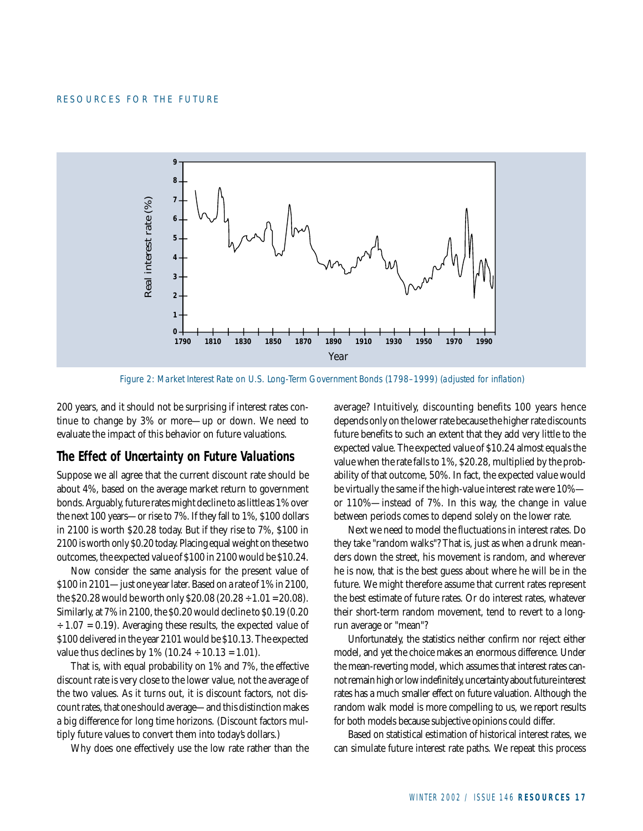

*Figure 2: Market Interest Rate on U.S. Long-Term Government Bonds (1798–1999) (adjusted for inflation)*

200 years, and it should not be surprising if interest rates continue to change by 3% or more—up or down. We need to evaluate the impact of this behavior on future valuations.

# **The Effect of Uncertainty on Future Valuations**

Suppose we all agree that the current discount rate should be about 4%, based on the average market return to government bonds. Arguably, future rates might decline to as little as 1% over the next 100 years—or rise to 7%. If they fall to 1%, \$100 dollars in 2100 is worth \$20.28 today. But if they rise to 7%, \$100 in 2100 is worth only \$0.20 today. Placing equal weight on these two outcomes, the expected value of \$100 in 2100 would be \$10.24.

Now consider the same analysis for the present value of \$100 in 2101—just one year later. Based on a rate of 1% in 2100, the \$20.28 would be worth only \$20.08 (20.28 ÷ 1.01 = 20.08). Similarly, at 7% in 2100, the \$0.20 would decline to \$0.19 (0.20  $\div$  1.07 = 0.19). Averaging these results, the expected value of \$100 delivered in the year 2101 would be \$10.13. The expected value thus declines by  $1\%$  ( $10.24 \div 10.13 = 1.01$ ).

That is, with equal probability on 1% and 7%, the effective discount rate is very close to the lower value, not the average of the two values. As it turns out, it is discount factors, not discount rates, that one should average—and this distinction makes a big difference for long time horizons. (Discount factors multiply future values to convert them into today's dollars.)

Why does one effectively use the low rate rather than the

average? Intuitively, discounting benefits 100 years hence depends only on the lower rate because the higher rate discounts future benefits to such an extent that they add very little to the expected value. The expected value of \$10.24 almost equals the value when the rate falls to 1%, \$20.28, multiplied by the probability of that outcome, 50%. In fact, the expected value would be virtually the same if the high-value interest rate were 10% or 110%—instead of 7%. In this way, the change in value between periods comes to depend solely on the lower rate.

Next we need to model the fluctuations in interest rates. Do they take "random walks"? That is, just as when a drunk meanders down the street, his movement is random, and wherever he is now, that is the best guess about where he will be in the future. We might therefore assume that current rates represent the best estimate of future rates. Or do interest rates, whatever their short-term random movement, tend to revert to a longrun average or "mean"?

Unfortunately, the statistics neither confirm nor reject either model, and yet the choice makes an enormous difference. Under the mean-reverting model, which assumes that interest rates cannot remain high or low indefinitely, uncertainty about future interest rates has a much smaller effect on future valuation. Although the random walk model is more compelling to us, we report results for both models because subjective opinions could differ.

Based on statistical estimation of historical interest rates, we can simulate future interest rate paths. We repeat this process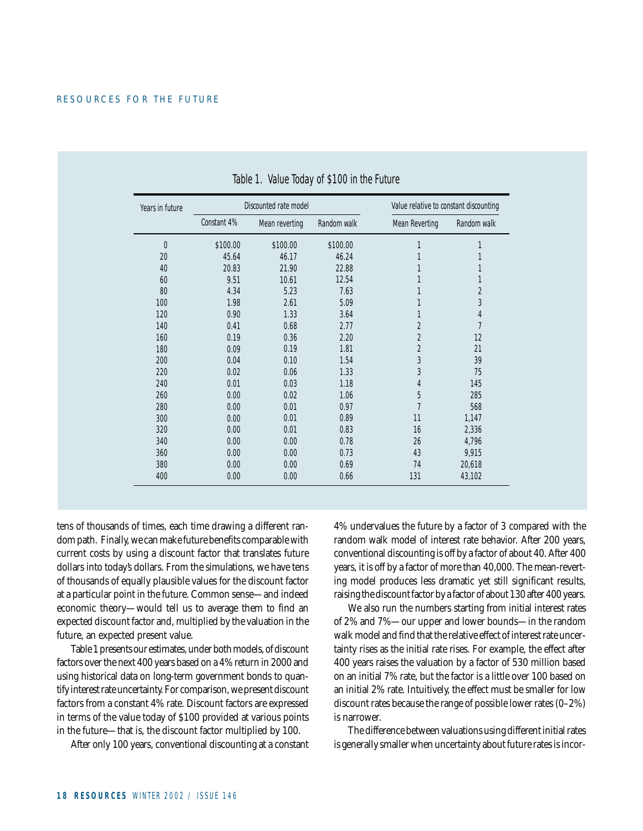| Years in future | Discounted rate model |                |             | Value relative to constant discounting |             |
|-----------------|-----------------------|----------------|-------------|----------------------------------------|-------------|
|                 | Constant 4%           | Mean reverting | Random walk | <b>Mean Reverting</b>                  | Random walk |
| $\mathbf{0}$    | \$100.00              | \$100.00       | \$100.00    | 1                                      | 1           |
| 20              | 45.64                 | 46.17          | 46.24       |                                        |             |
| 40              | 20.83                 | 21.90          | 22.88       |                                        | 1           |
| 60              | 9.51                  | 10.61          | 12.54       |                                        | 1           |
| 80              | 4.34                  | 5.23           | 7.63        |                                        | 2           |
| 100             | 1.98                  | 2.61           | 5.09        |                                        | 3           |
| 120             | 0.90                  | 1.33           | 3.64        | 1                                      | 4           |
| 140             | 0.41                  | 0.68           | 2.77        | $\overline{2}$                         | 7           |
| 160             | 0.19                  | 0.36           | 2.20        | $\overline{2}$                         | 12          |
| 180             | 0.09                  | 0.19           | 1.81        | $\overline{2}$                         | 21          |
| 200             | 0.04                  | 0.10           | 1.54        | 3                                      | 39          |
| 220             | 0.02                  | 0.06           | 1.33        | 3                                      | 75          |
| 240             | 0.01                  | 0.03           | 1.18        | 4                                      | 145         |
| 260             | 0.00                  | 0.02           | 1.06        | 5                                      | 285         |
| 280             | 0.00                  | 0.01           | 0.97        | 7                                      | 568         |
| 300             | 0.00                  | 0.01           | 0.89        | 11                                     | 1,147       |
| 320             | 0.00                  | 0.01           | 0.83        | 16                                     | 2,336       |
| 340             | 0.00                  | 0.00           | 0.78        | 26                                     | 4,796       |
| 360             | 0.00                  | 0.00           | 0.73        | 43                                     | 9,915       |
| 380             | 0.00                  | 0.00           | 0.69        | 74                                     | 20,618      |
| 400             | 0.00                  | 0.00           | 0.66        | 131                                    | 43,102      |

Table 1. Value Today of \$100 in the Future

tens of thousands of times, each time drawing a different random path. Finally, we can make future benefits comparable with current costs by using a discount factor that translates future dollars into today's dollars. From the simulations, we have tens of thousands of equally plausible values for the discount factor at a particular point in the future. Common sense—and indeed economic theory—would tell us to average them to find an expected discount factor and, multiplied by the valuation in the future, an expected present value.

Table 1 presents our estimates, under both models, of discount factors over the next 400 years based on a 4% return in 2000 and using historical data on long-term government bonds to quantify interest rate uncertainty. For comparison, we present discount factors from a constant 4% rate. Discount factors are expressed in terms of the value today of \$100 provided at various points in the future—that is, the discount factor multiplied by 100.

After only 100 years, conventional discounting at a constant

4% undervalues the future by a factor of 3 compared with the random walk model of interest rate behavior. After 200 years, conventional discounting is off by a factor of about 40. After 400 years, it is off by a factor of more than 40,000. The mean-reverting model produces less dramatic yet still significant results, raising the discount factor by a factor of about 130 after 400 years.

We also run the numbers starting from initial interest rates of 2% and 7%—our upper and lower bounds—in the random walk model and find that the relative effect of interest rate uncertainty rises as the initial rate rises. For example, the effect after 400 years raises the valuation by a factor of 530 million based on an initial 7% rate, but the factor is a little over 100 based on an initial 2% rate. Intuitively, the effect must be smaller for low discount rates because the range of possible lower rates (0–2%) is narrower.

The difference between valuations using different initial rates is generally smaller when uncertainty about future rates is incor-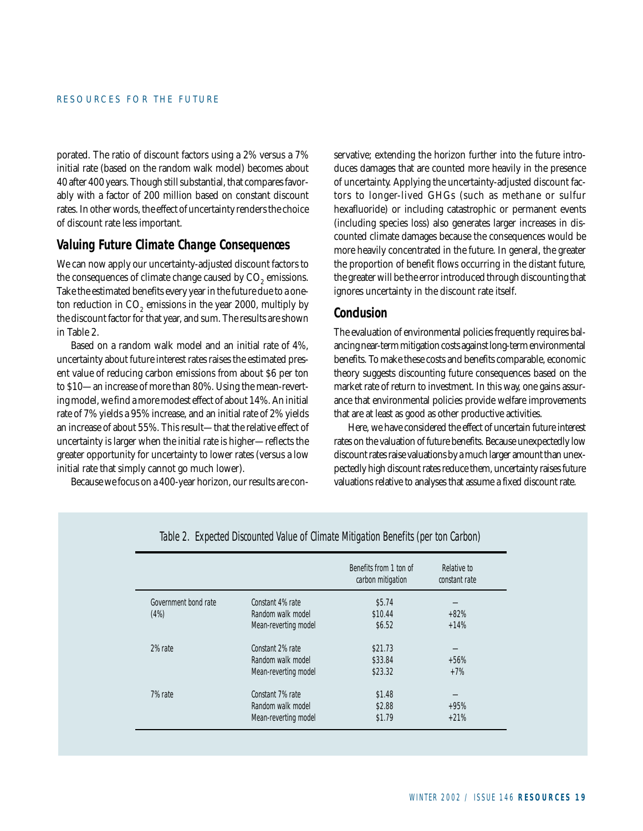porated. The ratio of discount factors using a 2% versus a 7% initial rate (based on the random walk model) becomes about 40 after 400 years. Though still substantial, that compares favorably with a factor of 200 million based on constant discount rates. In other words, the effect of uncertainty renders the choice of discount rate less important.

## **Valuing Future Climate Change Consequences**

We can now apply our uncertainty-adjusted discount factors to the consequences of climate change caused by CO<sub>2</sub> emissions. Take the estimated benefits every year in the future due to a oneton reduction in  $CO<sub>2</sub>$  emissions in the year 2000, multiply by the discount factor for that year, and sum. The results are shown in Table 2.

Based on a random walk model and an initial rate of 4%, uncertainty about future interest rates raises the estimated present value of reducing carbon emissions from about \$6 per ton to \$10—an increase of more than 80%. Using the mean-reverting model, we find a more modest effect of about 14%. An initial rate of 7% yields a 95% increase, and an initial rate of 2% yields an increase of about 55%. This result—that the relative effect of uncertainty is larger when the initial rate is higher—reflects the greater opportunity for uncertainty to lower rates (versus a low initial rate that simply cannot go much lower).

Because we focus on a 400-year horizon, our results are con-

servative; extending the horizon further into the future introduces damages that are counted more heavily in the presence of uncertainty. Applying the uncertainty-adjusted discount factors to longer-lived GHGs (such as methane or sulfur hexafluoride) or including catastrophic or permanent events (including species loss) also generates larger increases in discounted climate damages because the consequences would be more heavily concentrated in the future. In general, the greater the proportion of benefit flows occurring in the distant future, the greater will be the error introduced through discounting that ignores uncertainty in the discount rate itself.

### **Conclusion**

The evaluation of environmental policies frequently requires balancing near-term mitigation costs against long-term environmental benefits. To make these costs and benefits comparable, economic theory suggests discounting future consequences based on the market rate of return to investment. In this way, one gains assurance that environmental policies provide welfare improvements that are at least as good as other productive activities.

Here, we have considered the effect of uncertain future interest rates on the valuation of future benefits. Because unexpectedly low discount rates raise valuations by a much larger amount than unexpectedly high discount rates reduce them, uncertainty raises future valuations relative to analyses that assume a fixed discount rate.

|                      |                      | Benefits from 1 ton of<br>carbon mitigation | Relative to<br>constant rate |
|----------------------|----------------------|---------------------------------------------|------------------------------|
| Government bond rate | Constant 4% rate     | \$5.74                                      |                              |
| (4%)                 | Random walk model    | \$10.44                                     | $+82%$                       |
|                      | Mean-reverting model | \$6.52                                      | $+14%$                       |
| 2% rate              | Constant 2% rate     | \$21.73                                     |                              |
|                      | Random walk model    | \$33.84                                     | $+56%$                       |
|                      | Mean-reverting model | \$23.32                                     | $+7%$                        |
| 7% rate              | Constant 7% rate     | \$1.48                                      |                              |
|                      | Random walk model    | \$2.88                                      | $+95%$                       |
|                      | Mean-reverting model | \$1.79                                      | $+21%$                       |

Table 2. Expected Discounted Value of Climate Mitigation Benefits (per ton Carbon)